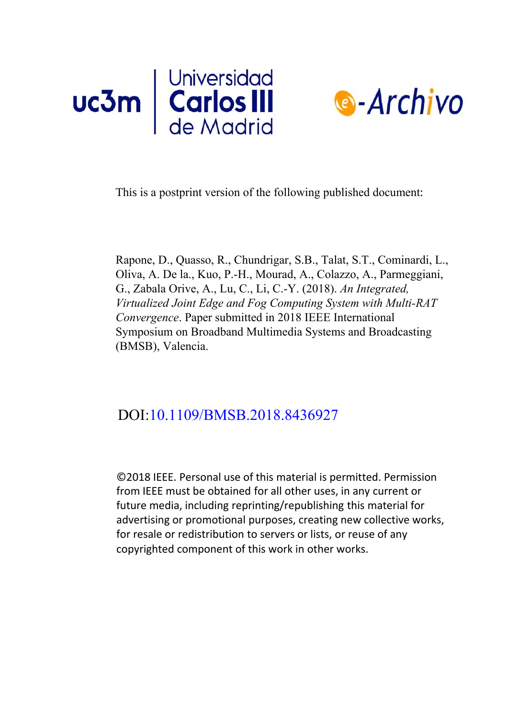



This is a postprint version of the following published document:

Rapone, D., Quasso, R., Chundrigar, S.B., Talat, S.T., Cominardi, L., Oliva, A. De la., Kuo, P.-H., Mourad, A., Colazzo, A., Parmeggiani, G., Zabala Orive, A., Lu, C., Li, C.-Y. (2018). *An Integrated, Virtualized Joint Edge and Fog Computing System with Multi-RAT Convergence*. Paper submitted in 2018 IEEE International Symposium on Broadband Multimedia Systems and Broadcasting (BMSB), Valencia.

# DOI:[10.1109/BMSB.2018.8436927](https://doi.org/10.1109/BMSB.2018.8436927)

©2018 IEEE. Personal use of this material is permitted. Permission from IEEE must be obtained for all other uses, in any current or future media, including reprinting/republishing this material for advertising or promotional purposes, creating new collective works, for resale or redistribution to servers or lists, or reuse of any copyrighted component of this work in other works.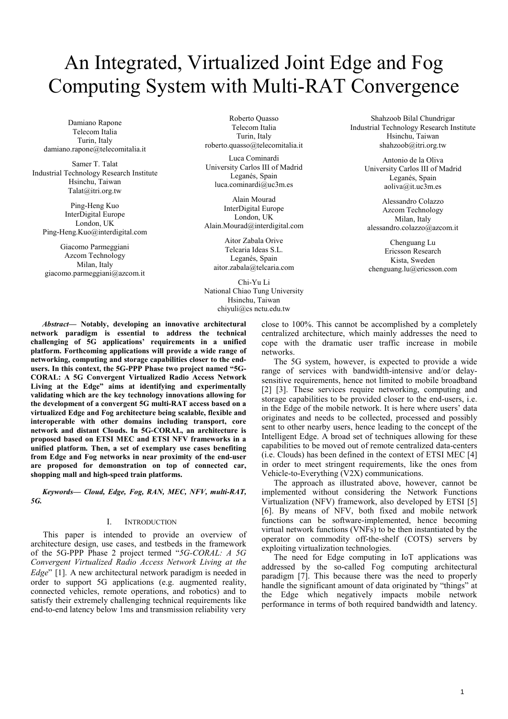# An Integrated, Virtualized Joint Edge and Fog Computing System with Multi-RAT Convergence

Damiano Rapone Telecom Italia Turin, Italy damiano.rapone@telecomitalia.it

Samer T. Talat Industrial Technology Research Institute Hsinchu, Taiwan Talat@itri.org.tw

Ping-Heng Kuo InterDigital Europe London, UK Ping-Heng.Kuo@interdigital.com

Giacomo Parmeggiani Azcom Technology Milan, Italy giacomo.parmeggiani@azcom.it

Roberto Quasso Telecom Italia Turin, Italy roberto.quasso@telecomitalia.it

Luca Cominardi University Carlos III of Madrid Leganés, Spain luca.cominardi $\hat{a}$ uc3m.es

Alain Mourad InterDigital Europe London, UK Alain.Mourad@interdigital.com

Aitor Zabala Orive Telcaria Ideas S.L. Leganés, Spain aitor.zabala@telcaria.com

Chi-Yu Li National Chiao Tung University Hsinchu, Taiwan chiyuli@cs nctu.edu.tw

*Abstract***— Notably, developing an innovative architectural network paradigm is essential to address the technical challenging of 5G applications' requirements in a unified platform. Forthcoming applications will provide a wide range of networking, computing and storage capabilities closer to the endusers. In this context, the 5G-PPP Phase two project named "5G-CORAL: A 5G Convergent Virtualized Radio Access Network Living at the Edge" aims at identifying and experimentally validating which are the key technology innovations allowing for the development of a convergent 5G multi-RAT access based on a virtualized Edge and Fog architecture being scalable, flexible and interoperable with other domains including transport, core network and distant Clouds. In 5G-CORAL, an architecture is proposed based on ETSI MEC and ETSI NFV frameworks in a unified platform. Then, a set of exemplary use cases benefiting from Edge and Fog networks in near proximity of the end-user are proposed for demonstration on top of connected car, shopping mall and high-speed train platforms.**

*Keywords— Cloud, Edge, Fog, RAN, MEC, NFV, multi-RAT, 5G.*

#### I. INTRODUCTION

This paper is intended to provide an overview of architecture design, use cases, and testbeds in the framework of the 5G-PPP Phase 2 project termed "*5G-CORAL: A 5G Convergent Virtualized Radio Access Network Living at the Edge*" [1]. A new architectural network paradigm is needed in order to support 5G applications (e.g. augmented reality, connected vehicles, remote operations, and robotics) and to satisfy their extremely challenging technical requirements like end-to-end latency below 1ms and transmission reliability very

close to 100%. This cannot be accomplished by a completely centralized architecture, which mainly addresses the need to cope with the dramatic user traffic increase in mobile networks.

The 5G system, however, is expected to provide a wide range of services with bandwidth-intensive and/or delaysensitive requirements, hence not limited to mobile broadband [2] [3]. These services require networking, computing and storage capabilities to be provided closer to the end-users, i.e. in the Edge of the mobile network. It is here where users' data originates and needs to be collected, processed and possibly sent to other nearby users, hence leading to the concept of the Intelligent Edge. A broad set of techniques allowing for these capabilities to be moved out of remote centralized data-centers (i.e. Clouds) has been defined in the context of ETSI MEC [4] in order to meet stringent requirements, like the ones from Vehicle-to-Everything (V2X) communications.

The approach as illustrated above, however, cannot be implemented without considering the Network Functions Virtualization (NFV) framework, also developed by ETSI [5] [6]. By means of NFV, both fixed and mobile network functions can be software-implemented, hence becoming virtual network functions (VNFs) to be then instantiated by the operator on commodity off-the-shelf (COTS) servers by exploiting virtualization technologies.

The need for Edge computing in IoT applications was addressed by the so-called Fog computing architectural paradigm [7]. This because there was the need to properly handle the significant amount of data originated by "things" at the Edge which negatively impacts mobile network performance in terms of both required bandwidth and latency.

Shahzoob Bilal Chundrigar Industrial Technology Research Institute Hsinchu, Taiwan shahzoob@itri.org.tw

> Antonio de la Oliva University Carlos III of Madrid Leganés, Spain aoliva@it.uc3m.es

Alessandro Colazzo Azcom Technology Milan, Italy alessandro.colazzo@azcom.it

Chenguang Lu Ericsson Research Kista, Sweden chenguang.lu@ericsson.com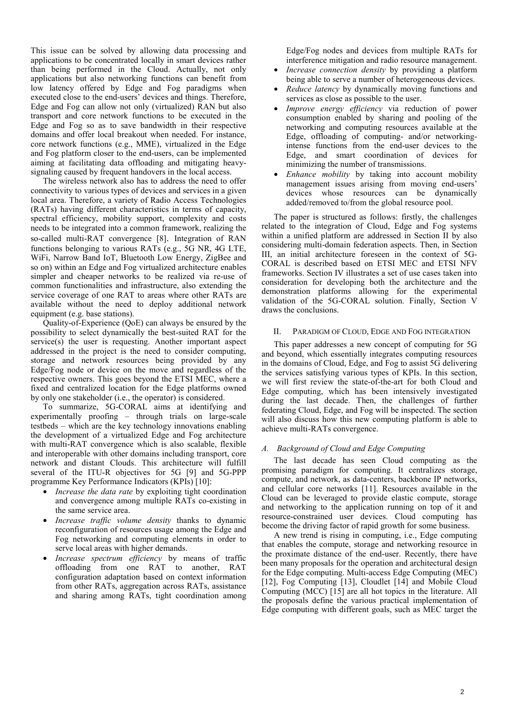This issue can be solved by allowing data processing and applications to be concentrated locally in smart devices rather than being performed in the Cloud. Actually, not only applications but also networking functions can benefit from low latency offered by Edge and Fog paradigms when executed close to the end-users' devices and things. Therefore, Edge and Fog can allow not only (virtualized) RAN but also transport and core network functions to be executed in the Edge and Fog so as to save bandwidth in their respective domains and offer local breakout when needed. For instance, core network functions (e.g., MME), virtualized in the Edge and Fog platform closer to the end-users, can be implemented aiming at facilitating data offloading and mitigating heavysignaling caused by frequent handovers in the local access.

The wireless network also has to address the need to offer connectivity to various types of devices and services in a given local area. Therefore, a variety of Radio Access Technologies (RATs) having different characteristics in terms of capacity, spectral efficiency, mobility support, complexity and costs needs to be integrated into a common framework, realizing the so-called multi-RAT convergence [8]. Integration of RAN functions belonging to various RATs (e.g., 5G NR, 4G LTE, WiFi, Narrow Band IoT, Bluetooth Low Energy, ZigBee and so on) within an Edge and Fog virtualized architecture enables simpler and cheaper networks to be realized via re-use of common functionalities and infrastructure, also extending the service coverage of one RAT to areas where other RATs are available without the need to deploy additional network equipment (e.g. base stations).

Quality-of-Experience (QoE) can always be ensured by the possibility to select dynamically the best-suited RAT for the service(s) the user is requesting. Another important aspect addressed in the project is the need to consider computing, storage and network resources being provided by any Edge/Fog node or device on the move and regardless of the respective owners. This goes beyond the ETSI MEC, where a fixed and centralized location for the Edge platforms owned by only one stakeholder (i.e., the operator) is considered.

To summarize, 5G-CORAL aims at identifying and experimentally proofing – through trials on large-scale testbeds – which are the key technology innovations enabling the development of a virtualized Edge and Fog architecture with multi-RAT convergence which is also scalable, flexible and interoperable with other domains including transport, core network and distant Clouds. This architecture will fulfill several of the ITU-R objectives for 5G [9] and 5G-PPP programme Key Performance Indicators (KPIs) [10]:

- *Increase the data rate* by exploiting tight coordination and convergence among multiple RATs co-existing in the same service area.
- *Increase traffic volume density* thanks to dynamic reconfiguration of resources usage among the Edge and Fog networking and computing elements in order to serve local areas with higher demands.
- *Increase spectrum efficiency* by means of traffic offloading from one RAT to another, RAT configuration adaptation based on context information from other RATs, aggregation across RATs, assistance and sharing among RATs, tight coordination among

Edge/Fog nodes and devices from multiple RATs for interference mitigation and radio resource management.

- *Increase connection density* by providing a platform being able to serve a number of heterogeneous devices.
- *Reduce latency* by dynamically moving functions and services as close as possible to the user.
- *Improve energy efficiency* via reduction of power consumption enabled by sharing and pooling of the networking and computing resources available at the Edge, offloading of computing- and/or networkingintense functions from the end-user devices to the Edge, and smart coordination of devices for minimizing the number of transmissions.
- *Enhance mobility* by taking into account mobility management issues arising from moving end-users' devices whose resources can be dynamically added/removed to/from the global resource pool.

The paper is structured as follows: firstly, the challenges related to the integration of Cloud, Edge and Fog systems within a unified platform are addressed in Section II by also considering multi-domain federation aspects. Then, in Section III, an initial architecture foreseen in the context of 5G-CORAL is described based on ETSI MEC and ETSI NFV frameworks. Section IV illustrates a set of use cases taken into consideration for developing both the architecture and the demonstration platforms allowing for the experimental validation of the 5G-CORAL solution. Finally, Section V draws the conclusions.

# II. PARADIGM OF CLOUD, EDGE AND FOG INTEGRATION

This paper addresses a new concept of computing for 5G and beyond, which essentially integrates computing resources in the domains of Cloud, Edge, and Fog to assist 5G delivering the services satisfying various types of KPIs. In this section, we will first review the state-of-the-art for both Cloud and Edge computing, which has been intensively investigated during the last decade. Then, the challenges of further federating Cloud, Edge, and Fog will be inspected. The section will also discuss how this new computing platform is able to achieve multi-RATs convergence.

# *A. Background of Cloud and Edge Computing*

The last decade has seen Cloud computing as the promising paradigm for computing. It centralizes storage, compute, and network, as data-centers, backbone IP networks, and cellular core networks [11]. Resources available in the Cloud can be leveraged to provide elastic compute, storage and networking to the application running on top of it and resource-constrained user devices. Cloud computing has become the driving factor of rapid growth for some business.

A new trend is rising in computing, i.e., Edge computing that enables the compute, storage and networking resource in the proximate distance of the end-user. Recently, there have been many proposals for the operation and architectural design for the Edge computing. Multi-access Edge Computing (MEC) [12], Fog Computing [13], Cloudlet [14] and Mobile Cloud Computing (MCC) [15] are all hot topics in the literature. All the proposals define the various practical implementation of Edge computing with different goals, such as MEC target the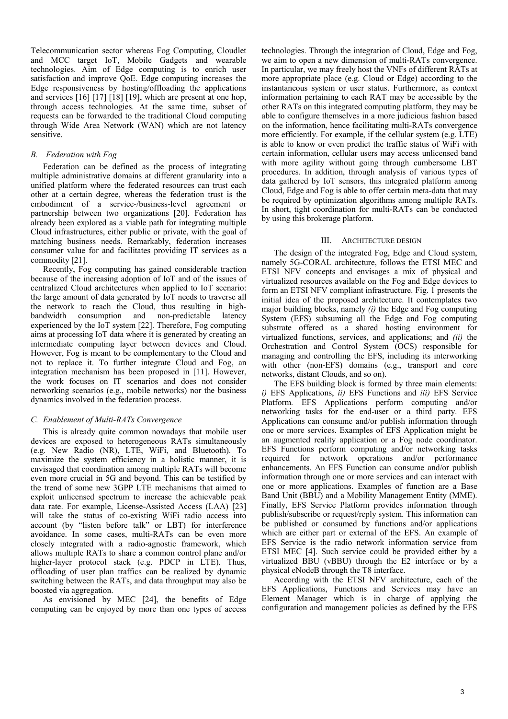Telecommunication sector whereas Fog Computing, Cloudlet and MCC target IoT, Mobile Gadgets and wearable technologies. Aim of Edge computing is to enrich user satisfaction and improve QoE. Edge computing increases the Edge responsiveness by hosting/offloading the applications and services [16] [17] [18] [19], which are present at one hop, through access technologies. At the same time, subset of requests can be forwarded to the traditional Cloud computing through Wide Area Network (WAN) which are not latency sensitive.

# *B. Federation with Fog*

Federation can be defined as the process of integrating multiple administrative domains at different granularity into a unified platform where the federated resources can trust each other at a certain degree, whereas the federation trust is the embodiment of a service-/business-level agreement or partnership between two organizations [20]. Federation has already been explored as a viable path for integrating multiple Cloud infrastructures, either public or private, with the goal of matching business needs. Remarkably, federation increases consumer value for and facilitates providing IT services as a commodity [21].

Recently, Fog computing has gained considerable traction because of the increasing adoption of IoT and of the issues of centralized Cloud architectures when applied to IoT scenario: the large amount of data generated by IoT needs to traverse all the network to reach the Cloud, thus resulting in highbandwidth consumption and non-predictable latency experienced by the IoT system [22]. Therefore, Fog computing aims at processing IoT data where it is generated by creating an intermediate computing layer between devices and Cloud. However, Fog is meant to be complementary to the Cloud and not to replace it. To further integrate Cloud and Fog, an integration mechanism has been proposed in [11]. However, the work focuses on IT scenarios and does not consider networking scenarios (e.g., mobile networks) nor the business dynamics involved in the federation process.

# *C. Enablement of Multi-RATs Convergence*

This is already quite common nowadays that mobile user devices are exposed to heterogeneous RATs simultaneously (e.g. New Radio (NR), LTE, WiFi, and Bluetooth). To maximize the system efficiency in a holistic manner, it is envisaged that coordination among multiple RATs will become even more crucial in 5G and beyond. This can be testified by the trend of some new 3GPP LTE mechanisms that aimed to exploit unlicensed spectrum to increase the achievable peak data rate. For example, License-Assisted Access (LAA) [23] will take the status of co-existing WiFi radio access into account (by "listen before talk" or LBT) for interference avoidance. In some cases, multi-RATs can be even more closely integrated with a radio-agnostic framework, which allows multiple RATs to share a common control plane and/or higher-layer protocol stack (e.g. PDCP in LTE). Thus, offloading of user plan traffics can be realized by dynamic switching between the RATs, and data throughput may also be boosted via aggregation.

As envisioned by MEC [24], the benefits of Edge computing can be enjoyed by more than one types of access technologies. Through the integration of Cloud, Edge and Fog, we aim to open a new dimension of multi-RATs convergence. In particular, we may freely host the VNFs of different RATs at more appropriate place (e.g. Cloud or Edge) according to the instantaneous system or user status. Furthermore, as context information pertaining to each RAT may be accessible by the other RATs on this integrated computing platform, they may be able to configure themselves in a more judicious fashion based on the information, hence facilitating multi-RATs convergence more efficiently. For example, if the cellular system (e.g. LTE) is able to know or even predict the traffic status of WiFi with certain information, cellular users may access unlicensed band with more agility without going through cumbersome LBT procedures. In addition, through analysis of various types of data gathered by IoT sensors, this integrated platform among Cloud, Edge and Fog is able to offer certain meta-data that may be required by optimization algorithms among multiple RATs. In short, tight coordination for multi-RATs can be conducted by using this brokerage platform.

# III. ARCHITECTURE DESIGN

The design of the integrated Fog, Edge and Cloud system, namely 5G-CORAL architecture, follows the ETSI MEC and ETSI NFV concepts and envisages a mix of physical and virtualized resources available on the Fog and Edge devices to form an ETSI NFV compliant infrastructure. Fig. 1 presents the initial idea of the proposed architecture. It contemplates two major building blocks, namely *(i)* the Edge and Fog computing System (EFS) subsuming all the Edge and Fog computing substrate offered as a shared hosting environment for virtualized functions, services, and applications; and *(ii)* the Orchestration and Control System (OCS) responsible for managing and controlling the EFS, including its interworking with other (non-EFS) domains (e.g., transport and core networks, distant Clouds, and so on).

The EFS building block is formed by three main elements: *i)* EFS Applications, *ii)* EFS Functions and *iii)* EFS Service Platform. EFS Applications perform computing and/or networking tasks for the end-user or a third party. EFS Applications can consume and/or publish information through one or more services. Examples of EFS Application might be an augmented reality application or a Fog node coordinator. EFS Functions perform computing and/or networking tasks required for network operations and/or performance enhancements. An EFS Function can consume and/or publish information through one or more services and can interact with one or more applications. Examples of function are a Base Band Unit (BBU) and a Mobility Management Entity (MME). Finally, EFS Service Platform provides information through publish/subscribe or request/reply system. This information can be published or consumed by functions and/or applications which are either part or external of the EFS. An example of EFS Service is the radio network information service from ETSI MEC [4]. Such service could be provided either by a virtualized BBU (vBBU) through the E2 interface or by a physical eNodeB through the T8 interface.

According with the ETSI NFV architecture, each of the EFS Applications, Functions and Services may have an Element Manager which is in charge of applying the configuration and management policies as defined by the EFS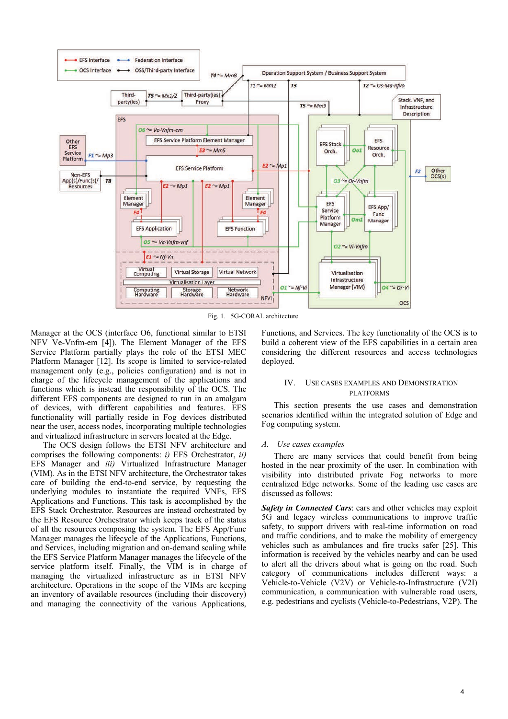

Fig. 1. 5G-CORAL architecture.

Manager at the OCS (interface O6, functional similar to ETSI NFV Ve-Vnfm-em [4]). The Element Manager of the EFS Service Platform partially plays the role of the ETSI MEC Platform Manager [12]. Its scope is limited to service-related management only (e.g., policies configuration) and is not in charge of the lifecycle management of the applications and functions which is instead the responsibility of the OCS. The different EFS components are designed to run in an amalgam of devices, with different capabilities and features. EFS functionality will partially reside in Fog devices distributed near the user, access nodes, incorporating multiple technologies and virtualized infrastructure in servers located at the Edge.

The OCS design follows the ETSI NFV architecture and comprises the following components: *i)* EFS Orchestrator, *ii)* EFS Manager and *iii)* Virtualized Infrastructure Manager (VIM). As in the ETSI NFV architecture, the Orchestrator takes care of building the end-to-end service, by requesting the underlying modules to instantiate the required VNFs, EFS Applications and Functions. This task is accomplished by the EFS Stack Orchestrator. Resources are instead orchestrated by the EFS Resource Orchestrator which keeps track of the status of all the resources composing the system. The EFS App/Func Manager manages the lifecycle of the Applications, Functions, and Services, including migration and on-demand scaling while the EFS Service Platform Manager manages the lifecycle of the service platform itself. Finally, the VIM is in charge of managing the virtualized infrastructure as in ETSI NFV architecture. Operations in the scope of the VIMs are keeping an inventory of available resources (including their discovery) and managing the connectivity of the various Applications,

Functions, and Services. The key functionality of the OCS is to build a coherent view of the EFS capabilities in a certain area considering the different resources and access technologies deployed.

#### IV. USE CASES EXAMPLES AND DEMONSTRATION PLATFORMS

This section presents the use cases and demonstration scenarios identified within the integrated solution of Edge and Fog computing system.

#### *A. Use cases examples*

There are many services that could benefit from being hosted in the near proximity of the user. In combination with visibility into distributed private Fog networks to more centralized Edge networks. Some of the leading use cases are discussed as follows:

*Safety in Connected Cars*: cars and other vehicles may exploit 5G and legacy wireless communications to improve traffic safety, to support drivers with real-time information on road and traffic conditions, and to make the mobility of emergency vehicles such as ambulances and fire trucks safer [25]. This information is received by the vehicles nearby and can be used to alert all the drivers about what is going on the road. Such category of communications includes different ways: a Vehicle-to-Vehicle (V2V) or Vehicle-to-Infrastructure (V2I) communication, a communication with vulnerable road users, e.g. pedestrians and cyclists (Vehicle-to-Pedestrians, V2P). The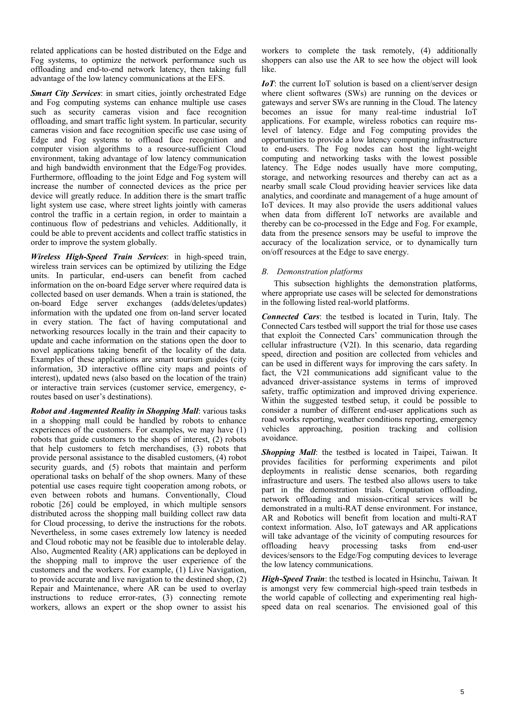related applications can be hosted distributed on the Edge and Fog systems, to optimize the network performance such us offloading and end-to-end network latency, then taking full advantage of the low latency communications at the EFS.

*Smart City Services*: in smart cities, jointly orchestrated Edge and Fog computing systems can enhance multiple use cases such as security cameras vision and face recognition offloading, and smart traffic light system. In particular, security cameras vision and face recognition specific use case using of Edge and Fog systems to offload face recognition and computer vision algorithms to a resource-sufficient Cloud environment, taking advantage of low latency communication and high bandwidth environment that the Edge/Fog provides. Furthermore, offloading to the joint Edge and Fog system will increase the number of connected devices as the price per device will greatly reduce. In addition there is the smart traffic light system use case, where street lights jointly with cameras control the traffic in a certain region, in order to maintain a continuous flow of pedestrians and vehicles. Additionally, it could be able to prevent accidents and collect traffic statistics in order to improve the system globally.

*Wireless High-Speed Train Services*: in high-speed train, wireless train services can be optimized by utilizing the Edge units. In particular, end-users can benefit from cached information on the on-board Edge server where required data is collected based on user demands. When a train is stationed, the on-board Edge server exchanges (adds/deletes/updates) information with the updated one from on-land server located in every station. The fact of having computational and networking resources locally in the train and their capacity to update and cache information on the stations open the door to novel applications taking benefit of the locality of the data. Examples of these applications are smart tourism guides (city information, 3D interactive offline city maps and points of interest), updated news (also based on the location of the train) or interactive train services (customer service, emergency, eroutes based on user's destinations).

*Robot and Augmented Reality in Shopping Mall*: various tasks in a shopping mall could be handled by robots to enhance experiences of the customers. For examples, we may have (1) robots that guide customers to the shops of interest, (2) robots that help customers to fetch merchandises, (3) robots that provide personal assistance to the disabled customers, (4) robot security guards, and (5) robots that maintain and perform operational tasks on behalf of the shop owners. Many of these potential use cases require tight cooperation among robots, or even between robots and humans. Conventionally, Cloud robotic [26] could be employed, in which multiple sensors distributed across the shopping mall building collect raw data for Cloud processing, to derive the instructions for the robots. Nevertheless, in some cases extremely low latency is needed and Cloud robotic may not be feasible due to intolerable delay. Also, Augmented Reality (AR) applications can be deployed in the shopping mall to improve the user experience of the customers and the workers. For example, (1) Live Navigation, to provide accurate and live navigation to the destined shop, (2) Repair and Maintenance, where AR can be used to overlay instructions to reduce error-rates, (3) connecting remote workers, allows an expert or the shop owner to assist his

workers to complete the task remotely, (4) additionally shoppers can also use the AR to see how the object will look like.

*IoT*: the current IoT solution is based on a client/server design where client softwares (SWs) are running on the devices or gateways and server SWs are running in the Cloud. The latency becomes an issue for many real-time industrial IoT applications. For example, wireless robotics can require mslevel of latency. Edge and Fog computing provides the opportunities to provide a low latency computing infrastructure to end-users. The Fog nodes can host the light-weight computing and networking tasks with the lowest possible latency. The Edge nodes usually have more computing, storage, and networking resources and thereby can act as a nearby small scale Cloud providing heavier services like data analytics, and coordinate and management of a huge amount of IoT devices. It may also provide the users additional values when data from different IoT networks are available and thereby can be co-processed in the Edge and Fog. For example, data from the presence sensors may be useful to improve the accuracy of the localization service, or to dynamically turn on/off resources at the Edge to save energy.

# *B. Demonstration platforms*

This subsection highlights the demonstration platforms, where appropriate use cases will be selected for demonstrations in the following listed real-world platforms.

*Connected Cars*: the testbed is located in Turin, Italy. The Connected Cars testbed will support the trial for those use cases that exploit the Connected Cars' communication through the cellular infrastructure (V2I). In this scenario, data regarding speed, direction and position are collected from vehicles and can be used in different ways for improving the cars safety. In fact, the V2I communications add significant value to the advanced driver-assistance systems in terms of improved safety, traffic optimization and improved driving experience. Within the suggested testbed setup, it could be possible to consider a number of different end-user applications such as road works reporting, weather conditions reporting, emergency vehicles approaching, position tracking and collision avoidance.

*Shopping Mall*: the testbed is located in Taipei, Taiwan. It provides facilities for performing experiments and pilot deployments in realistic dense scenarios, both regarding infrastructure and users. The testbed also allows users to take part in the demonstration trials. Computation offloading, network offloading and mission-critical services will be demonstrated in a multi-RAT dense environment. For instance, AR and Robotics will benefit from location and multi-RAT context information. Also, IoT gateways and AR applications will take advantage of the vicinity of computing resources for offloading heavy processing tasks from end-user devices/sensors to the Edge/Fog computing devices to leverage the low latency communications.

*High-Speed Train*: the testbed is located in Hsinchu, Taiwan*.* It is amongst very few commercial high-speed train testbeds in the world capable of collecting and experimenting real highspeed data on real scenarios. The envisioned goal of this